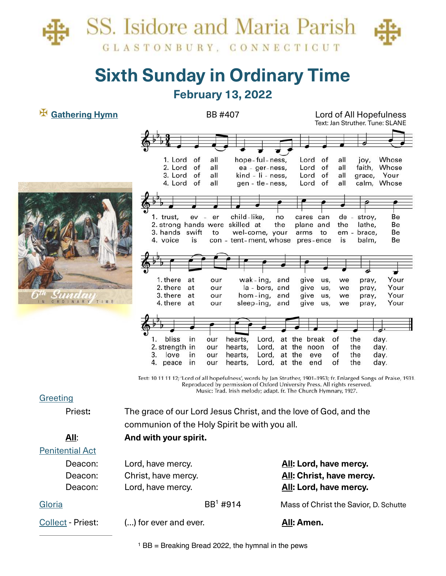

# **Sixth Sunday in Ordinary Time February 13, 2022**

## ✠ **Gathering Hymn** BB #407 Lord of All Hopefulness

|      | 1. Lord<br>of                      | all        | hope-ful-ness,                              | Lord<br>of           | all<br>joy,            | Whose        |
|------|------------------------------------|------------|---------------------------------------------|----------------------|------------------------|--------------|
|      | 2. Lord<br>of                      | all        | ea - ger-ness,                              | Lord<br>of           | all                    | faith, Whose |
|      | 3. Lord<br>of                      | all        | kind - li - ness,                           | Lord<br>of           | all                    | grace, Your  |
|      | 4. Lord<br>of                      | all        | gen - tle-ness,                             | Lord<br>of           | all                    | calm, Whose  |
|      |                                    |            |                                             |                      |                        |              |
|      |                                    |            |                                             |                      |                        |              |
|      | 1. trust,<br>ev                    | - er       | child-like,<br>no                           | cares can            | de - stroy,            | Be           |
|      | 2. strong hands were skilled at    |            | the                                         | plane and            | the<br>lathe,          | Be           |
|      | 3. hands swift                     | to         | wel-come, your                              | to<br>arms           | em - brace,            | Be           |
|      | 4. voice<br>is                     |            | con - tent-ment, whose                      | pres-ence            | is<br>balm,            | Be           |
|      |                                    |            |                                             |                      |                        |              |
|      |                                    |            |                                             |                      |                        |              |
|      |                                    |            |                                             |                      |                        |              |
|      | 1. there<br>at                     | our        | wak-ing, and                                | give<br>us,          | we                     | Your         |
|      | 2. there<br>at                     | our        | la - bors, and                              | give<br>us,          | pray,<br>we<br>pray,   | Your         |
|      | 3. there<br>at                     | our        | hom-ing, and                                | give<br>us,          | we<br>pray,            | Your         |
| TIME | 4. there<br>at                     | our        | sleep-ing, and                              | give<br>us,          | we<br>pray,            | Your         |
|      |                                    |            |                                             |                      |                        |              |
|      |                                    |            |                                             |                      |                        |              |
|      |                                    |            |                                             |                      |                        |              |
|      | bliss<br>in<br>1.                  | our        | hearts,                                     | Lord, at the break   | the<br>of              | day.         |
|      | 2. strength in                     | our        | Lord,<br>hearts,                            | at the noon          | the<br>οf              | day.         |
|      |                                    |            |                                             |                      |                        |              |
|      |                                    |            |                                             |                      |                        |              |
|      | 3.<br>love<br>in<br>4. peace<br>in | our<br>our | Lord,<br>hearts,<br>Lord, at the<br>hearts, | at the<br>eve<br>end | the<br>of<br>of<br>the | day.<br>day. |

Text: 10 11 11 12; 'Lord of all hopefulness', words by Jan Struther, 1901-1953; fr. Enlarged Songs of Praise, 1931. Reproduced by permission of Oxford University Press. All rights reserved. Music: Trad. Irish melody; adapt. fr. The Church Hymnary, 1927.

### **Greeting**

NEW OF

Priest: The grace of our Lord Jesus Christ, and the love of God, and the communion of the Holy Spirit be with you all. **All**: **And with your spirit.** 

## Penitential Act

Deacon: Lord, have mercy. **All: Lord, have mercy.** Deacon: Christ, have mercy. **All: Christ, have mercy.** Deacon: Lord, have mercy. **All: Lord, have mercy. All:** Lord, have mercy.

Text: Jan Struther. Tune: SLANE

| Gloria | $BB1$ #914 | Mass of Christ the Savior, D. Schutte |
|--------|------------|---------------------------------------|
|        |            |                                       |

Collect - Priest: (…) for ever and ever. **All: Amen.**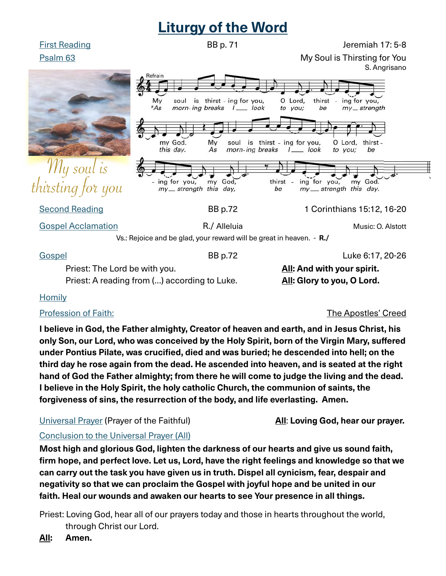# **Liturgy of the Word**

First Reading **Example 20** Sep. 71 **BB p. 71** Jeremiah 17: 5-8

Psalm 63 My Soul is Thirsting for You



Priest: A reading from (...) according to Luke. **All: Glory to you, O Lord.** 

### **Homily**

### Profession of Faith: The Apostles' Creed

**I believe in God, the Father almighty, Creator of heaven and earth, and in Jesus Christ, his only Son, our Lord, who was conceived by the Holy Spirit, born of the Virgin Mary, sufered under Pontius Pilate, was crucifed, died and was buried; he descended into hell; on the third day he rose again from the dead. He ascended into heaven, and is seated at the right hand of God the Father almighty; from there he will come to judge the living and the dead. I believe in the Holy Spirit, the holy catholic Church, the communion of saints, the forgiveness of sins, the resurrection of the body, and life everlasting. Amen.** 

Universal Prayer (Prayer of the Faithful) **All**: **Loving God, hear our prayer.** 

# Conclusion to the Universal Prayer (All)

**Most high and glorious God, lighten the darkness of our hearts and give us sound faith, frm hope, and perfect love. Let us, Lord, have the right feelings and knowledge so that we can carry out the task you have given us in truth. Dispel all cynicism, fear, despair and negativity so that we can proclaim the Gospel with joyful hope and be united in our faith. Heal our wounds and awaken our hearts to see Your presence in all things.**

Priest: Loving God, hear all of our prayers today and those in hearts throughout the world, through Christ our Lord.

**All: Amen.** 

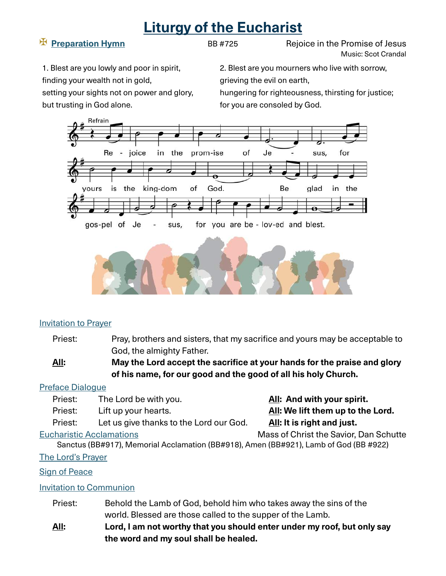# **Liturgy of the Eucharist**

**Example 24** Preparation Hymn **BB #725 Rejoice in the Promise of Jesus** Music: Scot Crandal

1. Blest are you lowly and poor in spirit, finding your wealth not in gold, setting your sights not on power and glory,

but trusting in God alone.

2. Blest are you mourners who live with sorrow, grieving the evil on earth,

hungering for righteousness, thirsting for justice; for you are consoled by God.





### Invitation to Prayer

Priest: Pray, brothers and sisters, that my sacrifice and yours may be acceptable to God, the almighty Father.

### **All:** May the Lord accept the sacrifice at your hands for the praise and glory  **of his name, for our good and the good of all his holy Church.**

### Preface Dialogue

- Priest: The Lord be with you. **All: And with your spirit.**
- 

Priest: Let us give thanks to the Lord our God. **All: It is right and just.**

Priest: Lift up your hearts. **All: We lift them up to the Lord.**

Eucharistic Acclamations Mass of Christ the Savior, Dan Schutte

Sanctus (BB#917), Memorial Acclamation (BB#918), Amen (BB#921), Lamb of God (BB #922)

### The Lord's Prayer

### Sign of Peace

### Invitation to Communion

- Priest: Behold the Lamb of God, behold him who takes away the sins of the world. Blessed are those called to the supper of the Lamb.
- **All: Lord, I am not worthy that you should enter under my roof, but only say the word and my soul shall be healed.**